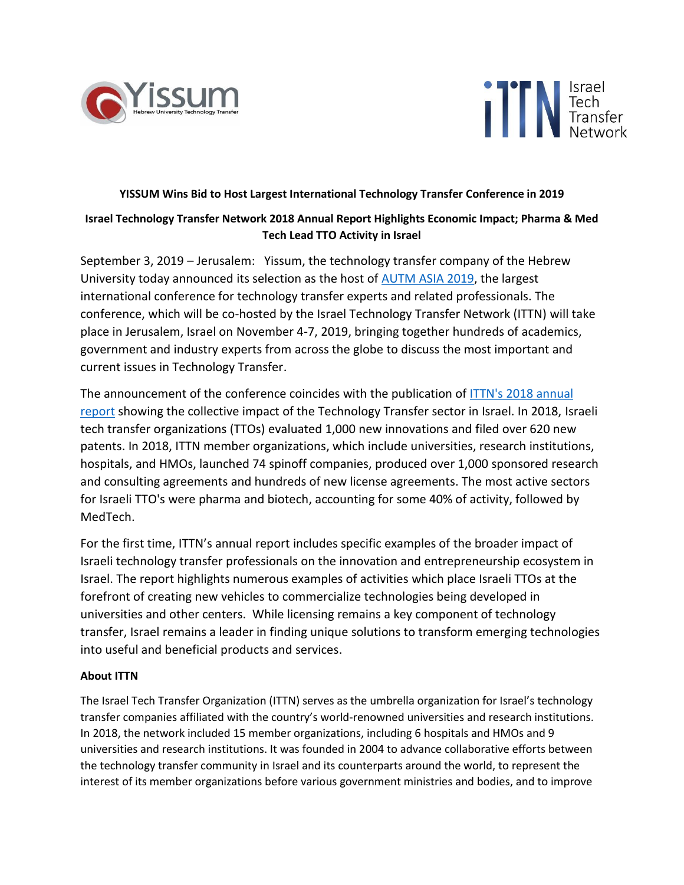



## **YISSUM Wins Bid to Host Largest International Technology Transfer Conference in 2019**

## **Israel Technology Transfer Network 2018 Annual Report Highlights Economic Impact; Pharma & Med Tech Lead TTO Activity in Israel**

September 3, 2019 – Jerusalem: Yissum, the technology transfer company of the Hebrew University today announced its selection as the host of [AUTM ASIA 2019,](https://autmasia.com/) the largest international conference for technology transfer experts and related professionals. The conference, which will be co-hosted by the Israel Technology Transfer Network (ITTN) will take place in Jerusalem, Israel on November 4-7, 2019, bringing together hundreds of academics, government and industry experts from across the globe to discuss the most important and current issues in Technology Transfer.

The announcement of the conference coincides with the publication of ITTN's [2018](https://drive.google.com/file/d/1dtBkq2vm1vBkZ80panqRwvEk_bdbUKBT/view?usp=sharing) annual report showing the collective impact of the Technology Transfer sector in Israel. In 2018, Israeli tech transfer organizations (TTOs) evaluated 1,000 new innovations and filed over 620 new patents. In 2018, ITTN member organizations, which include universities, research institutions, hospitals, and HMOs, launched 74 spinoff companies, produced over 1,000 sponsored research and consulting agreements and hundreds of new license agreements. The most active sectors for Israeli TTO's were pharma and biotech, accounting for some 40% of activity, followed by MedTech.

For the first time, ITTN's annual report includes specific examples of the broader impact of Israeli technology transfer professionals on the innovation and entrepreneurship ecosystem in Israel. The report highlights numerous examples of activities which place Israeli TTOs at the forefront of creating new vehicles to commercialize technologies being developed in universities and other centers. While licensing remains a key component of technology transfer, Israel remains a leader in finding unique solutions to transform emerging technologies into useful and beneficial products and services.

## **About ITTN**

The Israel Tech Transfer Organization (ITTN) serves as the umbrella organization for Israel's technology transfer companies affiliated with the country's world-renowned universities and research institutions. In 2018, the network included 15 member organizations, including 6 hospitals and HMOs and 9 universities and research institutions. It was founded in 2004 to advance collaborative efforts between the technology transfer community in Israel and its counterparts around the world, to represent the interest of its member organizations before various government ministries and bodies, and to improve